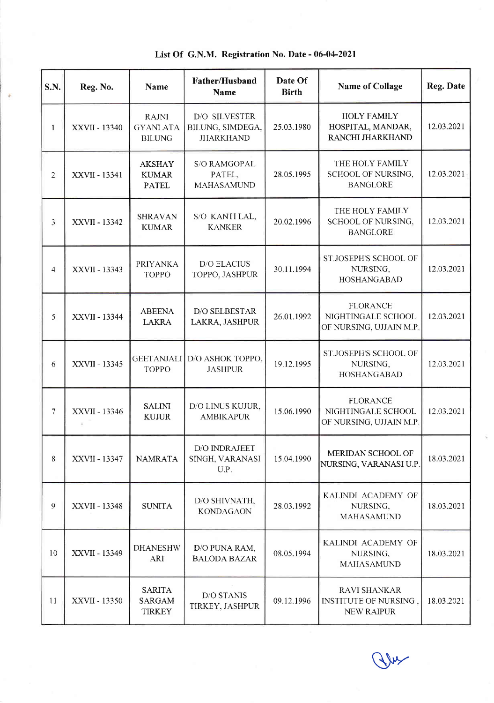Reg. No. Name Father/Husband Name Date Of Pate Of Name of Collage Reg. Date 1 | XXVII - 13340 RAJNI GYANLATA BILUNG D/O SILVESTER BILUNG. SIMDEGA. JHARKHAND 25.03.1980 HOLY FAMILY HOSPITAL, MANDAR, RANCHI JHARKHAND 12.03.2021 2 | XXVII - 13341 AKSHAY KUMAR PATEL S/O RAMGOPAL PATEL. MAHASAMUND 28.05.1995 THE HOLY FAMILY SCHOOL OF NURSING. BANGLORE 12.03.2021  $3$   $\overline{\text{XXVII}}$  - 13342 SHRAVAN KUMAR S/O KANTI LAL. KANKER 20.02.1996 THE HOLY FAMILY SCHOOL OF NURSING. BANGLORE t2.03.2021 4 **XXVII** - 13343 PRIYANKA TOPPO D/O ELACIUS  $TOPPO, JASHPUR$   $30.11.1994$ ST.JOSEPH'S SCHOOL OF NURSING. HOSHANGABAD 12.03.2021 <sup>5</sup> xx\Il - <sup>13344</sup> ABEENA LAKRA D/O SELBESTAR LAKRA, JASHPUR 26.01.1992 FLORANCE NIGHTINGALE SCHOOL OF NURSING. UJJAIN M.P 12.03.2021 <sup>6</sup> xxvll - <sup>13345</sup> GEETANJALI D/O ASHOK TOPPO. TOPPO JASHPUR 19.12.1995 ST.JOSEPH'S SCHOOL OF NURSING. HOSHANGABAD 12.03.2021  $7$  | XXVII - 13346 SALIM KUJUR D/O LINUS KUJUR. AMBIKAPUR 15.06.1990 FLORANCE NIGHTINGALE SCHOOL OF NURSING, UJJAIN M.P 12.03.2021 8 | XXVII - 13347 | NAMRATA D/O INDRAJEET SINGH, VARANASI U.P. 15.04.1990 MERIDAN SCHOOL OF NURSING, VARANASI U.P. 18.03.2021 9  $\overline{\text{XXVI}}$  - 13348 SUNITA D/O SHIVNATH,  $KONDAGAON$   $28.03.1992$ KALINDI ACADEMY OF NURSING. MAHASAMUND 18.03.2021 10 | XXVII - 13349 DHANESHW ARI D/O PUNA RAM,  $B_{\text{LODA BAZAR}}$  08.05.1994 KALINDI ACADEMY OF NLIRSING, MAHASAMUND 18.03.2021 11 | XXVII - 13350 SARITA SARGAM **TIRKEY** D/O STANIS  $TIRKEY, JASHPUR$  09.12.1996 RAVI SHANKAR INSTITUTE OF NURSING. NEW RAIPUR 18.03.202), S.N.

List Of G.N.M. Registration No. Date - 06-04-2021

A)'b'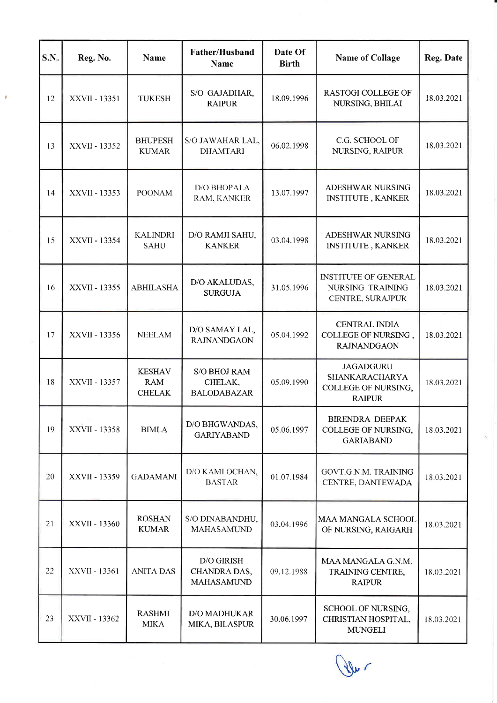| S.N. | Reg. No.      | Name                                         | Father/Husband<br><b>Name</b>                          | Date Of<br><b>Birth</b> | <b>Name of Collage</b>                                                     | Reg. Date  |
|------|---------------|----------------------------------------------|--------------------------------------------------------|-------------------------|----------------------------------------------------------------------------|------------|
| 12   | XXVII - 13351 | <b>TUKESH</b>                                | S/O GAJADHAR,<br><b>RAIPUR</b>                         | 18.09.1996              | <b>RASTOGI COLLEGE OF</b><br>NURSING, BHILAI                               | 18.03.2021 |
| 13   | XXVII - 13352 | <b>BHUPESH</b><br><b>KUMAR</b>               | S/O JAWAHAR LAL,<br><b>DHAMTARI</b>                    | 06.02.1998              | C.G. SCHOOL OF<br>NURSING, RAIPUR                                          | 18.03.2021 |
| 14   | XXVII - 13353 | <b>POONAM</b>                                | D/O BHOPALA<br>RAM, KANKER                             | 13.07.1997              | ADESHWAR NURSING<br><b>INSTITUTE, KANKER</b>                               | 18.03.2021 |
| 15   | XXVII - 13354 | <b>KALINDRI</b><br><b>SAHU</b>               | D/O RAMJI SAHU,<br><b>KANKER</b>                       | 03.04.1998              | <b>ADESHWAR NURSING</b><br><b>INSTITUTE, KANKER</b>                        | 18.03.2021 |
| 16   | XXVII - 13355 | <b>ABHILASHA</b>                             | D/O AKALUDAS,<br><b>SURGUJA</b>                        | 31.05.1996              | <b>INSTITUTE OF GENERAL</b><br>NURSING TRAINING<br>CENTRE, SURAJPUR        | 18.03.2021 |
| 17   | XXVII - 13356 | <b>NEELAM</b>                                | D/O SAMAY LAL,<br><b>RAJNANDGAON</b>                   | 05.04.1992              | <b>CENTRAL INDIA</b><br>COLLEGE OF NURSING,<br><b>RAJNANDGAON</b>          | 18.03.2021 |
| 18   | XXVII - 13357 | <b>KESHAV</b><br><b>RAM</b><br><b>CHELAK</b> | S/O BHOJ RAM<br>CHELAK,<br><b>BALODABAZAR</b>          | 05.09.1990              | <b>JAGADGURU</b><br>SHANKARACHARYA<br>COLLEGE OF NURSING,<br><b>RAIPUR</b> | 18.03.2021 |
| 19   | XXVII - 13358 | <b>BIMLA</b>                                 | D/O BHGWANDAS,<br><b>GARIYABAND</b>                    | 05.06.1997              | <b>BIRENDRA DEEPAK</b><br>COLLEGE OF NURSING,<br><b>GARIABAND</b>          | 18.03.2021 |
| 20   | XXVII - 13359 | <b>GADAMANI</b>                              | D/O KAMLOCHAN.<br><b>BASTAR</b>                        | 01.07.1984              | GOVT.G.N.M. TRAINING<br>CENTRE, DANTEWADA                                  | 18.03.2021 |
| 21   | XXVII - 13360 | <b>ROSHAN</b><br><b>KUMAR</b>                | S/O DINABANDHU,<br><b>MAHASAMUND</b>                   | 03.04.1996              | MAA MANGALA SCHOOL<br>OF NURSING, RAIGARH                                  | 18.03.2021 |
| 22   | XXVII - 13361 | <b>ANITA DAS</b>                             | <b>D/O GIRISH</b><br>CHANDRA DAS,<br><b>MAHASAMUND</b> | 09.12.1988              | MAA MANGALA G.N.M.<br>TRAINING CENTRE,<br><b>RAIPUR</b>                    | 18.03.2021 |
| 23   | XXVII - 13362 | <b>RASHMI</b><br><b>MIKA</b>                 | D/O MADHUKAR<br>MIKA, BILASPUR                         | 30.06.1997              | SCHOOL OF NURSING,<br>CHRISTIAN HOSPITAL,<br><b>MUNGELI</b>                | 18.03.2021 |

t

N"'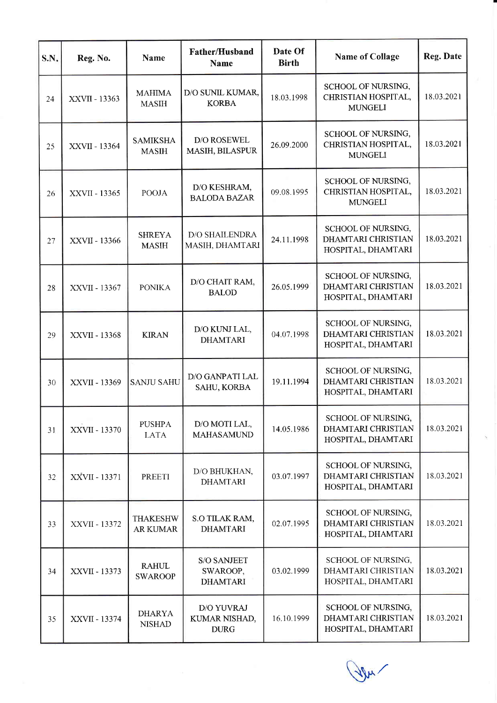| S.N. | Reg. No.      | <b>Name</b>                        | <b>Father/Husband</b><br><b>Name</b>              | Date Of<br><b>Birth</b> | <b>Name of Collage</b>                                                | <b>Reg. Date</b> |
|------|---------------|------------------------------------|---------------------------------------------------|-------------------------|-----------------------------------------------------------------------|------------------|
| 24   | XXVII - 13363 | <b>MAHIMA</b><br><b>MASIH</b>      | D/O SUNIL KUMAR,<br><b>KORBA</b>                  | 18.03.1998              | SCHOOL OF NURSING,<br>CHRISTIAN HOSPITAL,<br><b>MUNGELI</b>           | 18.03.2021       |
| 25   | XXVII - 13364 | <b>SAMIKSHA</b><br><b>MASIH</b>    | D/O ROSEWEL<br>MASIH, BILASPUR                    | 26.09.2000              | SCHOOL OF NURSING,<br>CHRISTIAN HOSPITAL,<br><b>MUNGELI</b>           | 18.03.2021       |
| 26   | XXVII - 13365 | <b>POOJA</b>                       | D/O KESHRAM,<br><b>BALODA BAZAR</b>               | 09.08.1995              | SCHOOL OF NURSING,<br>CHRISTIAN HOSPITAL,<br><b>MUNGELI</b>           | 18.03.2021       |
| 27   | XXVII - 13366 | <b>SHREYA</b><br><b>MASIH</b>      | <b>D/O SHAILENDRA</b><br>MASIH, DHAMTARI          | 24.11.1998              | SCHOOL OF NURSING,<br>DHAMTARI CHRISTIAN<br>HOSPITAL, DHAMTARI        | 18.03.2021       |
| 28   | XXVII - 13367 | <b>PONIKA</b>                      | D/O CHAIT RAM,<br><b>BALOD</b>                    | 26.05.1999              | SCHOOL OF NURSING,<br><b>DHAMTARI CHRISTIAN</b><br>HOSPITAL, DHAMTARI | 18.03.2021       |
| 29   | XXVII - 13368 | <b>KIRAN</b>                       | D/O KUNJ LAL,<br><b>DHAMTARI</b>                  | 04.07.1998              | SCHOOL OF NURSING,<br><b>DHAMTARI CHRISTIAN</b><br>HOSPITAL, DHAMTARI | 18.03.2021       |
| 30   | XXVII - 13369 | <b>SANJU SAHU</b>                  | D/O GANPATI LAL<br>SAHU, KORBA                    | 19.11.1994              | SCHOOL OF NURSING,<br>DHAMTARI CHRISTIAN<br>HOSPITAL, DHAMTARI        | 18.03.2021       |
| 31   | XXVII - 13370 | <b>PUSHPA</b><br><b>LATA</b>       | D/O MOTI LAL,<br><b>MAHASAMUND</b>                | 14.05.1986              | <b>SCHOOL OF NURSING,</b><br>DHAMTARI CHRISTIAN<br>HOSPITAL, DHAMTARI | 18.03.2021       |
| 32   | XXVII - 13371 | <b>PREETI</b>                      | D/O BHUKHAN,<br><b>DHAMTARI</b>                   | 03.07.1997              | SCHOOL OF NURSING,<br><b>DHAMTARI CHRISTIAN</b><br>HOSPITAL, DHAMTARI | 18.03.2021       |
| 33   | XXVII - 13372 | <b>THAKESHW</b><br><b>AR KUMAR</b> | S.O TILAK RAM,<br><b>DHAMTARI</b>                 | 02.07.1995              | SCHOOL OF NURSING,<br><b>DHAMTARI CHRISTIAN</b><br>HOSPITAL, DHAMTARI | 18.03.2021       |
| 34   | XXVII - 13373 | <b>RAHUL</b><br><b>SWAROOP</b>     | <b>S/O SANJEET</b><br>SWAROOP,<br><b>DHAMTARI</b> | 03.02.1999              | SCHOOL OF NURSING,<br>DHAMTARI CHRISTIAN<br>HOSPITAL, DHAMTARI        | 18.03.2021       |
| 35   | XXVII - 13374 | <b>DHARYA</b><br><b>NISHAD</b>     | D/O YUVRAJ<br>KUMAR NISHAD,<br><b>DURG</b>        | 16.10.1999              | SCHOOL OF NURSING,<br>DHAMTARI CHRISTIAN<br>HOSPITAL, DHAMTARI        | 18.03.2021       |

Ju /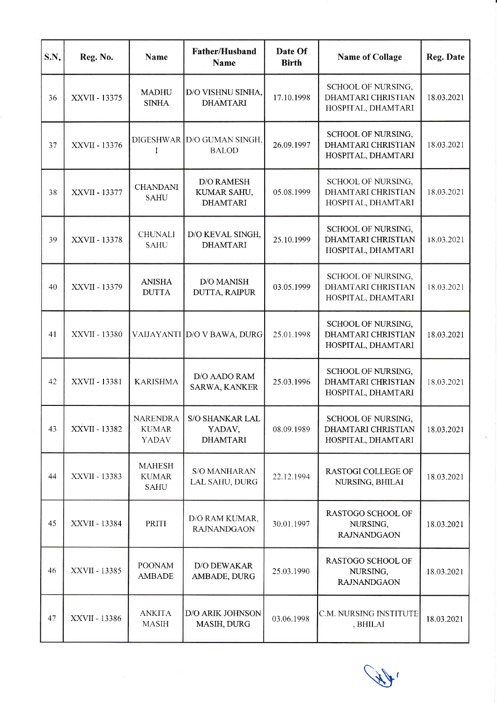| S.N. | Reg. No.      | Name                                            | <b>Father/Husband</b><br><b>Name</b>                | Date Of<br><b>Birth</b> | <b>Name of Collage</b>                                                | <b>Reg. Date</b> |
|------|---------------|-------------------------------------------------|-----------------------------------------------------|-------------------------|-----------------------------------------------------------------------|------------------|
| 36   | XXVII - 13375 | <b>MADHU</b><br><b>SINHA</b>                    | D/O VISHNU SINHA,<br><b>DHAMTARI</b>                | 17.10.1998              | SCHOOL OF NURSING,<br><b>DHAMTARI CHRISTIAN</b><br>HOSPITAL, DHAMTARI | 18.03.2021       |
| 37   | XXVII - 13376 | I                                               | DIGESHWAR   D/O GUMAN SINGH,<br><b>BALOD</b>        | 26.09.1997              | SCHOOL OF NURSING,<br>DHAMTARI CHRISTIAN<br>HOSPITAL, DHAMTARI        | 18.03.2021       |
| 38   | XXVII - 13377 | <b>CHANDANI</b><br><b>SAHU</b>                  | <b>D/O RAMESH</b><br>KUMAR SAHU,<br><b>DHAMTARI</b> | 05.08.1999              | SCHOOL OF NURSING,<br><b>DHAMTARI CHRISTIAN</b><br>HOSPITAL, DHAMTARI | 18.03.2021       |
| 39   | XXVII - 13378 | <b>CHUNALI</b><br><b>SAHU</b>                   | D/O KEVAL SINGH,<br><b>DHAMTARI</b>                 | 25.10.1999              | SCHOOL OF NURSING,<br>DHAMTARI CHRISTIAN<br>HOSPITAL, DHAMTARI        | 18.03.2021       |
| 40   | XXVII - 13379 | <b>ANISHA</b><br><b>DUTTA</b>                   | <b>D/O MANISH</b><br>DUTTA, RAIPUR                  | 03.05.1999              | SCHOOL OF NURSING,<br><b>DHAMTARI CHRISTIAN</b><br>HOSPITAL, DHAMTARI | 18.03.2021       |
| 41   | XXVII - 13380 |                                                 | VAIJAYANTI D/O V BAWA, DURG                         | 25.01.1998              | SCHOOL OF NURSING,<br>DHAMTARI CHRISTIAN<br>HOSPITAL, DHAMTARI        | 18.03.2021       |
| 42   | XXVII - 13381 | <b>KARISHMA</b>                                 | D/O AADO RAM<br>SARWA, KANKER                       | 25.03.1996              | SCHOOL OF NURSING,<br>DHAMTARI CHRISTIAN<br>HOSPITAL, DHAMTARI        | 18.03.2021       |
| 43   | XXVII - 13382 | <b>NARENDRA</b><br><b>KUMAR</b><br><b>YADAV</b> | <b>S/O SHANKAR LAL</b><br>YADAV,<br><b>DHAMTARI</b> | 08.09.1989              | SCHOOL OF NURSING,<br><b>DHAMTARI CHRISTIAN</b><br>HOSPITAL, DHAMTARI | 18.03.2021       |
| 44   | XXVII - 13383 | <b>MAHESH</b><br><b>KUMAR</b><br><b>SAHU</b>    | <b>S/O MANHARAN</b><br>LAL SAHU, DURG               | 22.12.1994              | <b>RASTOGI COLLEGE OF</b><br>NURSING, BHILAI                          | 18.03.2021       |
| 45   | XXVII - 13384 | PRITI                                           | D/O RAM KUMAR,<br><b>RAJNANDGAON</b>                | 30.01.1997              | <b>RASTOGO SCHOOL OF</b><br>NURSING,<br><b>RAJNANDGAON</b>            | 18.03.2021       |
| 46   | XXVII - 13385 | <b>POONAM</b><br><b>AMBADE</b>                  | D/O DEWAKAR<br>AMBADE, DURG                         | 25.03.1990              | RASTOGO SCHOOL OF<br>NURSING,<br><b>RAJNANDGAON</b>                   | 18.03.2021       |
| 47   | XXVII - 13386 | <b>ANKITA</b><br><b>MASIH</b>                   | D/O ARIK JOHNSON<br>MASIH, DURG                     | 03.06.1998              | C.M. NURSING INSTITUTE<br>, BHILAI                                    | 18.03.2021       |

 $\sqrt{1/2}$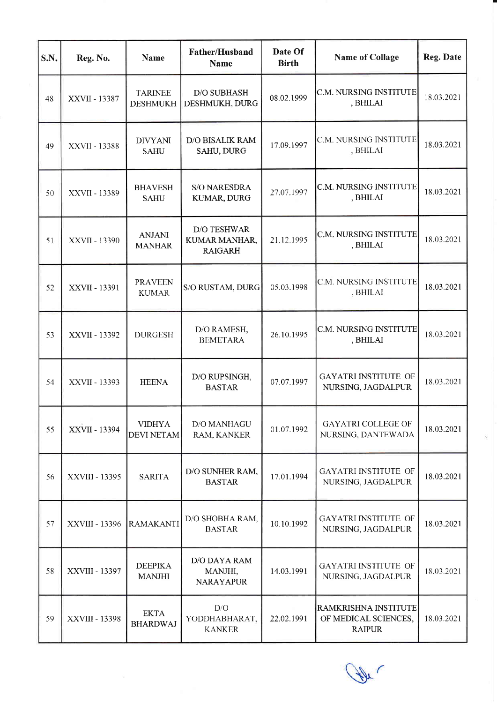| S.N. | Reg. No.       | <b>Name</b>                        | Father/Husband<br>Name                                | Date Of<br><b>Birth</b> | <b>Name of Collage</b>                                        | <b>Reg. Date</b> |
|------|----------------|------------------------------------|-------------------------------------------------------|-------------------------|---------------------------------------------------------------|------------------|
| 48   | XXVII - 13387  | <b>TARINEE</b><br><b>DESHMUKH</b>  | <b>D/O SUBHASH</b><br>DESHMUKH, DURG                  | 08.02.1999              | C.M. NURSING INSTITUTE<br>, BHILAI                            | 18.03.2021       |
| 49   | XXVII - 13388  | <b>DIVYANI</b><br><b>SAHU</b>      | D/O BISALIK RAM<br>SAHU, DURG                         | 17.09.1997              | <b>C.M. NURSING INSTITUTE</b><br>, BHILAI                     | 18.03.2021       |
| 50   | XXVII - 13389  | <b>BHAVESH</b><br><b>SAHU</b>      | <b>S/O NARESDRA</b><br>KUMAR, DURG                    | 27.07.1997              | C.M. NURSING INSTITUTE<br>, BHILAI                            | 18.03.2021       |
| 51   | XXVII - 13390  | <b>ANJANI</b><br><b>MANHAR</b>     | <b>D/O TESHWAR</b><br>KUMAR MANHAR,<br><b>RAIGARH</b> | 21.12.1995              | C.M. NURSING INSTITUTE<br>, BHILAI                            | 18.03.2021       |
| 52   | XXVII - 13391  | <b>PRAVEEN</b><br><b>KUMAR</b>     | S/O RUSTAM, DURG                                      | 05.03.1998              | C.M. NURSING INSTITUTE<br>, BHILAI                            | 18.03.2021       |
| 53   | XXVII - 13392  | <b>DURGESH</b>                     | D/O RAMESH,<br><b>BEMETARA</b>                        | 26.10.1995              | C.M. NURSING INSTITUTE<br>, BHILAI                            | 18.03.2021       |
| 54   | XXVII - 13393  | <b>HEENA</b>                       | D/O RUPSINGH,<br><b>BASTAR</b>                        | 07.07.1997              | <b>GAYATRI INSTITUTE OF</b><br>NURSING, JAGDALPUR             | 18.03.2021       |
| 55   | XXVII - 13394  | <b>VIDHYA</b><br><b>DEVI NETAM</b> | D/O MANHAGU<br>RAM, KANKER                            | 01.07.1992              | GAYATRI COLLEGE OF<br>NURSING, DANTEWADA                      | 18.03.2021       |
| 56   | XXVIII - 13395 | <b>SARITA</b>                      | D/O SUNHER RAM,<br><b>BASTAR</b>                      | 17.01.1994              | <b>GAYATRI INSTITUTE OF</b><br>NURSING, JAGDALPUR             | 18.03.2021       |
| 57   | XXVIII - 13396 | <b>RAMAKANTI</b>                   | D/O SHOBHA RAM,<br><b>BASTAR</b>                      | 10.10.1992              | <b>GAYATRI INSTITUTE OF</b><br>NURSING, JAGDALPUR             | 18.03.2021       |
| 58   | XXVIII - 13397 | <b>DEEPIKA</b><br><b>MANJHI</b>    | D/O DAYA RAM<br>MANJHI,<br><b>NARAYAPUR</b>           | 14.03.1991              | GAYATRI INSTITUTE OF<br>NURSING, JAGDALPUR                    | 18.03.2021       |
| 59   | XXVIII - 13398 | <b>EKTA</b><br><b>BHARDWAJ</b>     | D/O<br>YODDHABHARAT,<br><b>KANKER</b>                 | 22.02.1991              | RAMKRISHNA INSTITUTE<br>OF MEDICAL SCIENCES,<br><b>RAIPUR</b> | 18.03.2021       |

(the

r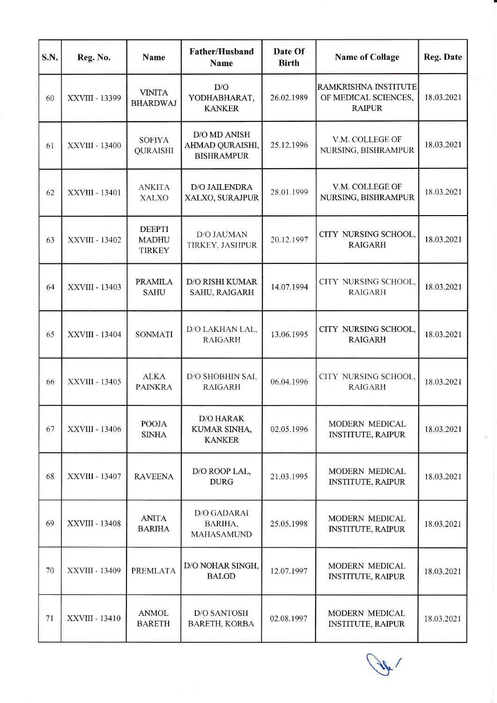| S.N. | Reg. No.       | <b>Name</b>                                    | <b>Father/Husband</b><br>Name                        | Date Of<br><b>Birth</b> | <b>Name of Collage</b>                                        | Reg. Date  |
|------|----------------|------------------------------------------------|------------------------------------------------------|-------------------------|---------------------------------------------------------------|------------|
| 60   | XXVIII - 13399 | <b>VINITA</b><br><b>BHARDWAJ</b>               | D/O<br>YODHABHARAT,<br><b>KANKER</b>                 | 26.02.1989              | RAMKRISHNA INSTITUTE<br>OF MEDICAL SCIENCES,<br><b>RAIPUR</b> | 18.03.2021 |
| 61   | XXVIII - 13400 | <b>SOFIYA</b><br><b>QURAISHI</b>               | D/O MD ANISH<br>AHMAD QURAISHI,<br><b>BISHRAMPUR</b> | 25.12.1996              | V.M. COLLEGE OF<br>NURSING, BISHRAMPUR                        | 18.03.2021 |
| 62   | XXVIII - 13401 | <b>ANKITA</b><br><b>XALXO</b>                  | D/O JAILENDRA<br>XALXO, SURAJPUR                     | 28.01.1999              | V.M. COLLEGE OF<br>NURSING, BISHRAMPUR                        | 18.03.2021 |
| 63   | XXVIII - 13402 | <b>DEEPTI</b><br><b>MADHU</b><br><b>TIRKEY</b> | D/O JAUMAN<br>TIRKEY, JASHPUR                        | 20.12.1997              | CITY NURSING SCHOOL,<br><b>RAIGARH</b>                        | 18.03.2021 |
| 64   | XXVIII - 13403 | <b>PRAMILA</b><br><b>SAHU</b>                  | <b>D/O RISHI KUMAR</b><br>SAHU, RAIGARH              | 14.07.1994              | CITY NURSING SCHOOL,<br><b>RAIGARH</b>                        | 18.03.2021 |
| 65   | XXVIII - 13404 | <b>SONMATI</b>                                 | D/O LAKHAN LAL,<br><b>RAIGARH</b>                    | 13.06.1995              | CITY NURSING SCHOOL,<br><b>RAIGARH</b>                        | 18.03.2021 |
| 66   | XXVIII - 13405 | <b>ALKA</b><br><b>PAINKRA</b>                  | D/O SHOBHIN SAI,<br><b>RAIGARH</b>                   | 06.04.1996              | CITY NURSING SCHOOL.<br><b>RAIGARH</b>                        | 18.03.2021 |
| 67   | XXVIII - 13406 | <b>POOJA</b><br><b>SINHA</b>                   | <b>D/O HARAK</b><br>KUMAR SINHA,<br><b>KANKER</b>    | 02.05.1996              | MODERN MEDICAL<br><b>INSTITUTE, RAIPUR</b>                    | 18.03.2021 |
| 68   | XXVIII - 13407 | <b>RAVEENA</b>                                 | D/O ROOP LAL,<br><b>DURG</b>                         | 21.03.1995              | MODERN MEDICAL<br><b>INSTITUTE, RAIPUR</b>                    | 18.03.2021 |
| 69   | XXVIII - 13408 | <b>ANITA</b><br><b>BARIHA</b>                  | D/O GADARAI<br>BARIHA,<br><b>MAHASAMUND</b>          | 25.05.1998              | MODERN MEDICAL<br><b>INSTITUTE, RAIPUR</b>                    | 18.03.2021 |
| 70   | XXVIII - 13409 | PREMLATA                                       | D/O NOHAR SINGH,<br><b>BALOD</b>                     | 12.07.1997              | MODERN MEDICAL<br><b>INSTITUTE, RAIPUR</b>                    | 18.03.2021 |
| 71   | XXVIII - 13410 | <b>ANMOL</b><br><b>BARETH</b>                  | <b>D/O SANTOSH</b><br>BARETH, KORBA                  | 02.08.1997              | MODERN MEDICAL<br><b>INSTITUTE, RAIPUR</b>                    | 18.03.2021 |

(Apr)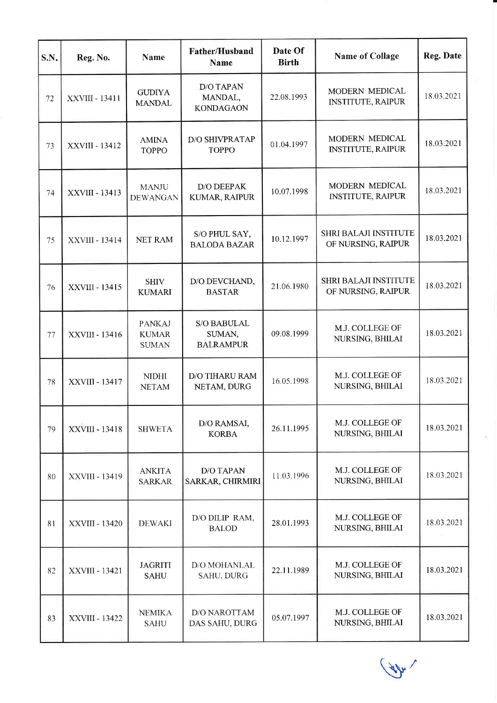| S.N. | Reg. No.              | <b>Name</b>                                   | Father/Husband<br><b>Name</b>             | Date Of<br><b>Birth</b> | <b>Name of Collage</b>                             | Reg. Date  |
|------|-----------------------|-----------------------------------------------|-------------------------------------------|-------------------------|----------------------------------------------------|------------|
| 72   | XXVIII - 13411        | <b>GUDIYA</b><br><b>MANDAL</b>                | D/O TAPAN<br>MANDAL,<br><b>KONDAGAON</b>  | 22.08.1993              | MODERN MEDICAL<br><b>INSTITUTE, RAIPUR</b>         | 18.03.2021 |
| 73   | XXVIII - 13412        | <b>AMINA</b><br><b>TOPPO</b>                  | <b>D/O SHIVPRATAP</b><br><b>TOPPO</b>     | 01.04.1997              | MODERN MEDICAL<br><b>INSTITUTE, RAIPUR</b>         | 18.03.2021 |
| 74   | XXVIII - 13413        | <b>MANJU</b><br><b>DEWANGAN</b>               | D/O DEEPAK<br>KUMAR, RAIPUR               | 10.07.1998              | MODERN MEDICAL<br><b>INSTITUTE, RAIPUR</b>         | 18.03.2021 |
| 75   | XXVIII - 13414        | <b>NET RAM</b>                                | S/O PHUL SAY,<br><b>BALODA BAZAR</b>      | 10.12.1997              | <b>SHRI BALAJI INSTITUTE</b><br>OF NURSING, RAIPUR | 18.03.2021 |
| 76   | XXVIII - 13415        | <b>SHIV</b><br><b>KUMARI</b>                  | D/O DEVCHAND,<br><b>BASTAR</b>            | 21.06.1980              | <b>SHRI BALAJI INSTITUTE</b><br>OF NURSING, RAIPUR | 18.03.2021 |
| 77   | XXVIII - 13416        | <b>PANKAJ</b><br><b>KUMAR</b><br><b>SUMAN</b> | S/O BABULAL<br>SUMAN,<br><b>BALRAMPUR</b> | 09.08.1999              | M.J. COLLEGE OF<br>NURSING, BHILAI                 | 18.03.2021 |
| 78   | XXVIII - 13417        | <b>NIDHI</b><br><b>NETAM</b>                  | <b>D/O TIHARU RAM</b><br>NETAM, DURG      | 16.05.1998              | M.J. COLLEGE OF<br>NURSING, BHILAI                 | 18.03.2021 |
| 79   | XXVIII - 13418        | <b>SHWETA</b>                                 | D/O RAMSAI,<br><b>KORBA</b>               | 26.11.1995              | M.J. COLLEGE OF<br>NURSING, BHILAI                 | 18.03.2021 |
| 80   | XXVIII - 13419        | <b>ANKITA</b><br><b>SARKAR</b>                | D/O TAPAN<br>SARKAR, CHIRMIRI             | 11.03.1996              | M.J. COLLEGE OF<br>NURSING, BHILAI                 | 18.03.2021 |
| 81   | <b>XXVIII - 13420</b> | <b>DEWAKI</b>                                 | D/O DILIP RAM,<br><b>BALOD</b>            | 28.01.1993              | M.J. COLLEGE OF<br>NURSING, BHILAI                 | 18.03.2021 |
| 82   | XXVIII - 13421        | <b>JAGRITI</b><br><b>SAHU</b>                 | D/O MOHANLAL<br>SAHU, DURG                | 22.11.1989              | M.J. COLLEGE OF<br>NURSING, BHILAI                 | 18.03.2021 |
| 83   | XXVIII - 13422        | <b>NEMIKA</b><br><b>SAHU</b>                  | D/O NAROTTAM<br>DAS SAHU, DURG            | 05.07.1997              | M.J. COLLEGE OF<br>NURSING, BHILAI                 | 18.03.2021 |

 $\sqrt{\frac{4}{2}}$ 

I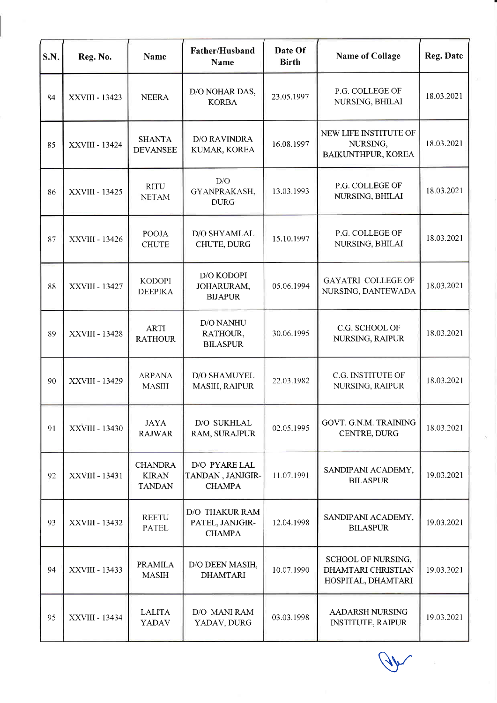| S.N. | Reg. No.              | <b>Name</b>                                     | Father/Husband<br>Name                                    | Date Of<br><b>Birth</b> | <b>Name of Collage</b>                                                | <b>Reg. Date</b> |
|------|-----------------------|-------------------------------------------------|-----------------------------------------------------------|-------------------------|-----------------------------------------------------------------------|------------------|
| 84   | XXVIII - 13423        | <b>NEERA</b>                                    | D/O NOHAR DAS,<br><b>KORBA</b>                            | 23.05.1997              | P.G. COLLEGE OF<br>NURSING, BHILAI                                    | 18.03.2021       |
| 85   | XXVIII - 13424        | <b>SHANTA</b><br><b>DEVANSEE</b>                | <b>D/O RAVINDRA</b><br>KUMAR, KOREA                       | 16.08.1997              | NEW LIFE INSTITUTE OF<br>NURSING,<br>BAIKUNTHPUR, KOREA               | 18.03.2021       |
| 86   | XXVIII - 13425        | <b>RITU</b><br><b>NETAM</b>                     | D/O<br>GYANPRAKASH,<br><b>DURG</b>                        | 13.03.1993              | P.G. COLLEGE OF<br>NURSING, BHILAI                                    | 18.03.2021       |
| 87   | XXVIII - 13426        | <b>POOJA</b><br><b>CHUTE</b>                    | D/O SHYAMLAL<br>CHUTE, DURG                               | 15.10.1997              | P.G. COLLEGE OF<br>NURSING, BHILAI                                    | 18.03.2021       |
| 88   | XXVIII - 13427        | <b>KODOPI</b><br><b>DEEPIKA</b>                 | <b>D/O KODOPI</b><br>JOHARURAM,<br><b>BIJAPUR</b>         | 05.06.1994              | <b>GAYATRI COLLEGE OF</b><br>NURSING, DANTEWADA                       | 18.03.2021       |
| 89   | XXVIII - 13428        | <b>ARTI</b><br><b>RATHOUR</b>                   | D/O NANHU<br>RATHOUR,<br><b>BILASPUR</b>                  | 30.06.1995              | C.G. SCHOOL OF<br>NURSING, RAIPUR                                     | 18.03.2021       |
| 90   | <b>XXVIII - 13429</b> | <b>ARPANA</b><br><b>MASIH</b>                   | D/O SHAMUYEL<br>MASIH, RAIPUR                             | 22.03.1982              | C.G. INSTITUTE OF<br>NURSING, RAIPUR                                  | 18.03.2021       |
| 91   | XXVIII - 13430        | <b>JAYA</b><br><b>RAJWAR</b>                    | D/O SUKHLAL<br>RAM, SURAJPUR                              | 02.05.1995              | GOVT. G.N.M. TRAINING<br>CENTRE, DURG                                 | 18.03.2021       |
| 92   | XXVIII - 13431        | <b>CHANDRA</b><br><b>KIRAN</b><br><b>TANDAN</b> | D/O PYARE LAL<br>TANDAN, JANJGIR-<br><b>CHAMPA</b>        | 11.07.1991              | SANDIPANI ACADEMY,<br><b>BILASPUR</b>                                 | 19.03.2021       |
| 93   | XXVIII - 13432        | <b>REETU</b><br><b>PATEL</b>                    | <b>D/O THAKUR RAM</b><br>PATEL, JANJGIR-<br><b>CHAMPA</b> | 12.04.1998              | SANDIPANI ACADEMY,<br><b>BILASPUR</b>                                 | 19.03.2021       |
| 94   | XXVIII - 13433        | <b>PRAMILA</b><br><b>MASIH</b>                  | D/O DEEN MASIH,<br><b>DHAMTARI</b>                        | 10.07.1990              | SCHOOL OF NURSING,<br><b>DHAMTARI CHRISTIAN</b><br>HOSPITAL, DHAMTARI | 19.03.2021       |
| 95   | XXVIII - 13434        | <b>LALITA</b><br><b>YADAV</b>                   | D/O MANI RAM<br>YADAV, DURG                               | 03.03.1998              | <b>AADARSH NURSING</b><br><b>INSTITUTE, RAIPUR</b>                    | 19.03.2021       |

 $\lambda$ 

S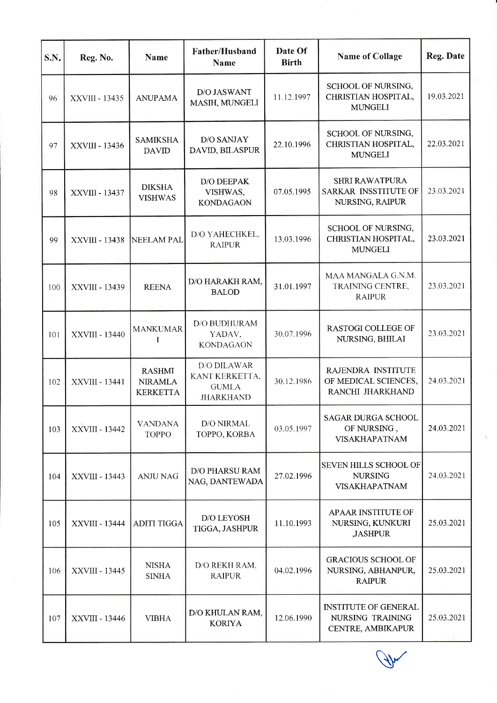| S.N. | Reg. No.       | Name                                               | Father/Husband<br><b>Name</b>                                            | Date Of<br><b>Birth</b> | <b>Name of Collage</b>                                                 | Reg. Date  |
|------|----------------|----------------------------------------------------|--------------------------------------------------------------------------|-------------------------|------------------------------------------------------------------------|------------|
| 96   | XXVIII - 13435 | <b>ANUPAMA</b>                                     | <b>D/O JASWANT</b><br>MASIH, MUNGELI                                     | 11.12.1997              | SCHOOL OF NURSING,<br>CHRISTIAN HOSPITAL,<br><b>MUNGELI</b>            | 19.03.2021 |
| 97   | XXVIII - 13436 | <b>SAMIKSHA</b><br><b>DAVID</b>                    | <b>D/O SANJAY</b><br>DAVID, BILASPUR                                     | 22.10.1996              | SCHOOL OF NURSING,<br>CHRISTIAN HOSPITAL,<br><b>MUNGELI</b>            | 22.03.2021 |
| 98   | XXVIII - 13437 | <b>DIKSHA</b><br><b>VISHWAS</b>                    | D/O DEEPAK<br>VISHWAS,<br><b>KONDAGAON</b>                               | 07.05.1995              | <b>SHRI RAWATPURA</b><br>SARKAR INSSTITUTE OF<br>NURSING, RAIPUR       | 23.03.2021 |
| 99   | XXVIII - 13438 | NEELAM PAL                                         | D/O YAHECHKEL,<br><b>RAIPUR</b>                                          | 13.03.1996              | SCHOOL OF NURSING,<br>CHRISTIAN HOSPITAL,<br><b>MUNGELI</b>            | 23.03.2021 |
| 100  | XXVIII - 13439 | <b>REENA</b>                                       | D/O HARAKH RAM,<br><b>BALOD</b>                                          | 31.01.1997              | MAA MANGALA G.N.M.<br>TRAINING CENTRE,<br><b>RAIPUR</b>                | 23.03.2021 |
| 101  | XXVIII - 13440 | <b>MANKUMAR</b>                                    | D/O BUDHURAM<br>YADAV,<br><b>KONDAGAON</b>                               | 30.07.1996              | <b>RASTOGI COLLEGE OF</b><br>NURSING, BHILAI                           | 23.03.2021 |
| 102  | XXVIII - 13441 | <b>RASHMI</b><br><b>NIRAMLA</b><br><b>KERKETTA</b> | <b>D/O DILAWAR</b><br>KANT KERKETTA,<br><b>GUMLA</b><br><b>JHARKHAND</b> | 30.12.1986              | RAJENDRA INSTITUTE<br>OF MEDICAL SCIENCES,<br>RANCHI JHARKHAND         | 24.03.2021 |
| 103  | XXVIII - 13442 | <b>VANDANA</b><br>TOPPO                            | D/O NIRMAL<br>TOPPO, KORBA                                               | 03.05.1997              | <b>SAGAR DURGA SCHOOL</b><br>OF NURSING,<br><b>VISAKHAPATNAM</b>       | 24.03.2021 |
| 104  | XXVIII - 13443 | <b>ANJU NAG</b>                                    | <b>D/O PHARSU RAM</b><br>NAG, DANTEWADA                                  | 27.02.1996              | <b>SEVEN HILLS SCHOOL OF</b><br><b>NURSING</b><br><b>VISAKHAPATNAM</b> | 24.03.2021 |
| 105  | XXVIII - 13444 | <b>ADITI TIGGA</b>                                 | D/O LEYOSH<br>TIGGA, JASHPUR                                             | 11.10.1993              | APAAR INSTITUTE OF<br>NURSING, KUNKURI<br>,JASHPUR                     | 25.03.2021 |
| 106  | XXVIII - 13445 | <b>NISHA</b><br><b>SINHA</b>                       | D/O REKH RAM,<br><b>RAIPUR</b>                                           | 04.02.1996              | <b>GRACIOUS SCHOOL OF</b><br>NURSING, ABHANPUR,<br><b>RAIPUR</b>       | 25.03.2021 |
| 107  | XXVIII - 13446 | <b>VIBHA</b>                                       | D/O KHULAN RAM,<br><b>KORIYA</b>                                         | 12.06.1990              | <b>INSTITUTE OF GENERAL</b><br>NURSING TRAINING<br>CENTRE, AMBIKAPUR   | 25.03.2021 |

 $\bigwedge$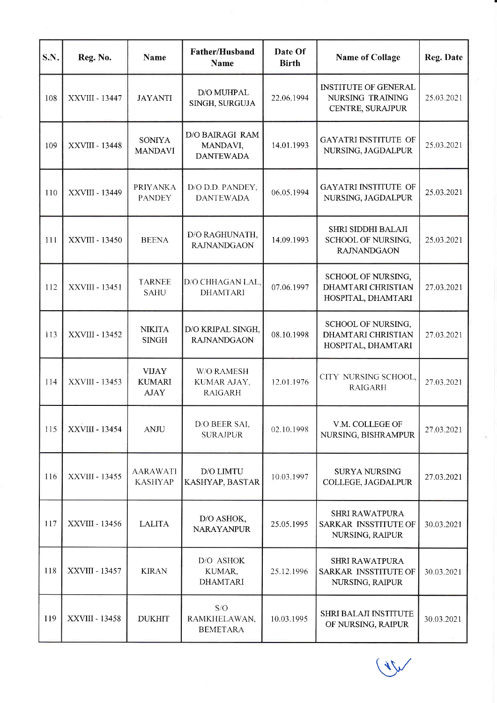| S.N. | Reg. No.              | <b>Name</b>                                  | Father/Husband<br><b>Name</b>                   | Date Of<br><b>Birth</b> | <b>Name of Collage</b>                                                  | Reg. Date  |
|------|-----------------------|----------------------------------------------|-------------------------------------------------|-------------------------|-------------------------------------------------------------------------|------------|
| 108  | <b>XXVIII - 13447</b> | <b>JAYANTI</b>                               | D/O MUHPAL<br>SINGH, SURGUJA                    | 22.06.1994              | <b>INSTITUTE OF GENERAL</b><br>NURSING TRAINING<br>CENTRE, SURAJPUR     | 25.03.2021 |
| 109  | <b>XXVIII - 13448</b> | <b>SONIYA</b><br><b>MANDAVI</b>              | D/O BAIRAGI RAM<br>MANDAVI,<br><b>DANTEWADA</b> | 14.01.1993              | <b>GAYATRI INSTITUTE OF</b><br>NURSING, JAGDALPUR                       | 25.03.2021 |
| 110  | XXVIII - 13449        | <b>PRIYANKA</b><br><b>PANDEY</b>             | D/O D.D. PANDEY,<br><b>DANTEWADA</b>            | 06.05.1994              | <b>GAYATRI INSTITUTE OF</b><br>NURSING, JAGDALPUR                       | 25.03.2021 |
| 111  | XXVIII - 13450        | <b>BEENA</b>                                 | D/O RAGHUNATH,<br><b>RAJNANDGAON</b>            | 14.09.1993              | SHRI SIDDHI BALAJI<br>SCHOOL OF NURSING,<br><b>RAJNANDGAON</b>          | 25.03.2021 |
| 112  | XXVIII - 13451        | <b>TARNEE</b><br><b>SAHU</b>                 | D/O CHHAGAN LAL.<br><b>DHAMTARI</b>             | 07.06.1997              | SCHOOL OF NURSING,<br><b>DHAMTARI CHRISTIAN</b><br>HOSPITAL, DHAMTARI   | 27.03.2021 |
| 113  | XXVIII - 13452        | <b>NIKITA</b><br><b>SINGH</b>                | D/O KRIPAL SINGH,<br><b>RAJNANDGAON</b>         | 08.10.1998              | SCHOOL OF NURSING,<br><b>DHAMTARI CHRISTIAN</b><br>HOSPITAL, DHAMTARI   | 27.03.2021 |
| 114  | XXVIII - 13453        | <b>VIJAY</b><br><b>KUMARI</b><br><b>AJAY</b> | W/O RAMESH<br>KUMAR AJAY,<br><b>RAIGARH</b>     | 12.01.1976              | CITY NURSING SCHOOL,<br><b>RAIGARH</b>                                  | 27.03.2021 |
| 115  | XXVIII - 13454        | <b>ANJU</b>                                  | D/O BEER SAI,<br><b>SURAJPUR</b>                | 02.10.1998              | V.M. COLLEGE OF<br>NURSING, BISHRAMPUR                                  | 27.03.2021 |
| 116  | XXVIII - 13455        | <b>AARAWATI</b><br><b>KASHYAP</b>            | D/O LIMTU<br>KASHYAP, BASTAR                    | 10.03.1997              | <b>SURYA NURSING</b><br>COLLEGE, JAGDALPUR                              | 27.03.2021 |
| 117  | XXVIII - 13456        | <b>LALITA</b>                                | D/O ASHOK,<br><b>NARAYANPUR</b>                 | 25.05.1995              | <b>SHRI RAWATPURA</b><br>SARKAR INSSTITUTE OF<br>NURSING, RAIPUR        | 30.03.2021 |
| 118  | XXVIII - 13457        | <b>KIRAN</b>                                 | D/O ASHOK<br>KUMAR,<br><b>DHAMTARI</b>          | 25.12.1996              | <b>SHRI RAWATPURA</b><br><b>SARKAR INSSTITUTE OF</b><br>NURSING, RAIPUR | 30.03.2021 |
| 119  | XXVIII - 13458        | <b>DUKHIT</b>                                | S/O<br>RAMKHELAWAN,<br><b>BEMETARA</b>          | 10.03.1995              | <b>SHRI BALAJI INSTITUTE</b><br>OF NURSING, RAIPUR                      | 30.03.2021 |

 $\bigvee$ 

T